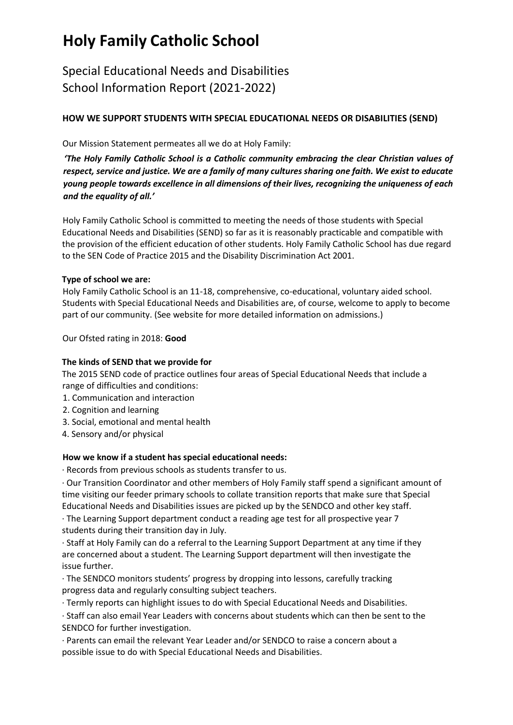### Special Educational Needs and Disabilities School Information Report (2021-2022)

### **HOW WE SUPPORT STUDENTS WITH SPECIAL EDUCATIONAL NEEDS OR DISABILITIES (SEND)**

Our Mission Statement permeates all we do at Holy Family:

*'The Holy Family Catholic School is a Catholic community embracing the clear Christian values of respect, service and justice. We are a family of many cultures sharing one faith. We exist to educate young people towards excellence in all dimensions of their lives, recognizing the uniqueness of each and the equality of all.'*

Holy Family Catholic School is committed to meeting the needs of those students with Special Educational Needs and Disabilities (SEND) so far as it is reasonably practicable and compatible with the provision of the efficient education of other students. Holy Family Catholic School has due regard to the SEN Code of Practice 2015 and the Disability Discrimination Act 2001.

#### **Type of school we are:**

Holy Family Catholic School is an 11-18, comprehensive, co-educational, voluntary aided school. Students with Special Educational Needs and Disabilities are, of course, welcome to apply to become part of our community. (See website for more detailed information on admissions.)

Our Ofsted rating in 2018: **Good** 

#### **The kinds of SEND that we provide for**

The 2015 SEND code of practice outlines four areas of Special Educational Needs that include a range of difficulties and conditions:

- 1. Communication and interaction
- 2. Cognition and learning
- 3. Social, emotional and mental health
- 4. Sensory and/or physical

#### **How we know if a student has special educational needs:**

∙ Records from previous schools as students transfer to us.

∙ Our Transition Coordinator and other members of Holy Family staff spend a significant amount of time visiting our feeder primary schools to collate transition reports that make sure that Special Educational Needs and Disabilities issues are picked up by the SENDCO and other key staff.

∙ The Learning Support department conduct a reading age test for all prospective year 7 students during their transition day in July.

∙ Staff at Holy Family can do a referral to the Learning Support Department at any time if they are concerned about a student. The Learning Support department will then investigate the issue further.

∙ The SENDCO monitors students' progress by dropping into lessons, carefully tracking progress data and regularly consulting subject teachers.

∙ Termly reports can highlight issues to do with Special Educational Needs and Disabilities.

∙ Staff can also email Year Leaders with concerns about students which can then be sent to the SENDCO for further investigation.

∙ Parents can email the relevant Year Leader and/or SENDCO to raise a concern about a possible issue to do with Special Educational Needs and Disabilities.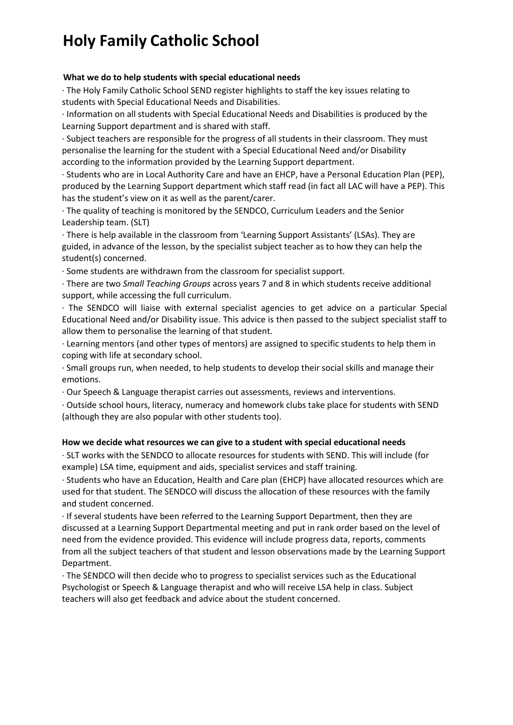#### **What we do to help students with special educational needs**

∙ The Holy Family Catholic School SEND register highlights to staff the key issues relating to students with Special Educational Needs and Disabilities.

∙ Information on all students with Special Educational Needs and Disabilities is produced by the Learning Support department and is shared with staff.

∙ Subject teachers are responsible for the progress of all students in their classroom. They must personalise the learning for the student with a Special Educational Need and/or Disability according to the information provided by the Learning Support department.

∙ Students who are in Local Authority Care and have an EHCP, have a Personal Education Plan (PEP), produced by the Learning Support department which staff read (in fact all LAC will have a PEP). This has the student's view on it as well as the parent/carer.

∙ The quality of teaching is monitored by the SENDCO, Curriculum Leaders and the Senior Leadership team. (SLT)

∙ There is help available in the classroom from 'Learning Support Assistants' (LSAs). They are guided, in advance of the lesson, by the specialist subject teacher as to how they can help the student(s) concerned.

∙ Some students are withdrawn from the classroom for specialist support.

∙ There are two *Small Teaching Groups* across years 7 and 8 in which students receive additional support, while accessing the full curriculum.

∙ The SENDCO will liaise with external specialist agencies to get advice on a particular Special Educational Need and/or Disability issue. This advice is then passed to the subject specialist staff to allow them to personalise the learning of that student.

∙ Learning mentors (and other types of mentors) are assigned to specific students to help them in coping with life at secondary school.

∙ Small groups run, when needed, to help students to develop their social skills and manage their emotions.

∙ Our Speech & Language therapist carries out assessments, reviews and interventions.

∙ Outside school hours, literacy, numeracy and homework clubs take place for students with SEND (although they are also popular with other students too).

#### **How we decide what resources we can give to a student with special educational needs**

∙ SLT works with the SENDCO to allocate resources for students with SEND. This will include (for example) LSA time, equipment and aids, specialist services and staff training.

∙ Students who have an Education, Health and Care plan (EHCP) have allocated resources which are used for that student. The SENDCO will discuss the allocation of these resources with the family and student concerned.

∙ If several students have been referred to the Learning Support Department, then they are discussed at a Learning Support Departmental meeting and put in rank order based on the level of need from the evidence provided. This evidence will include progress data, reports, comments from all the subject teachers of that student and lesson observations made by the Learning Support Department.

∙ The SENDCO will then decide who to progress to specialist services such as the Educational Psychologist or Speech & Language therapist and who will receive LSA help in class. Subject teachers will also get feedback and advice about the student concerned.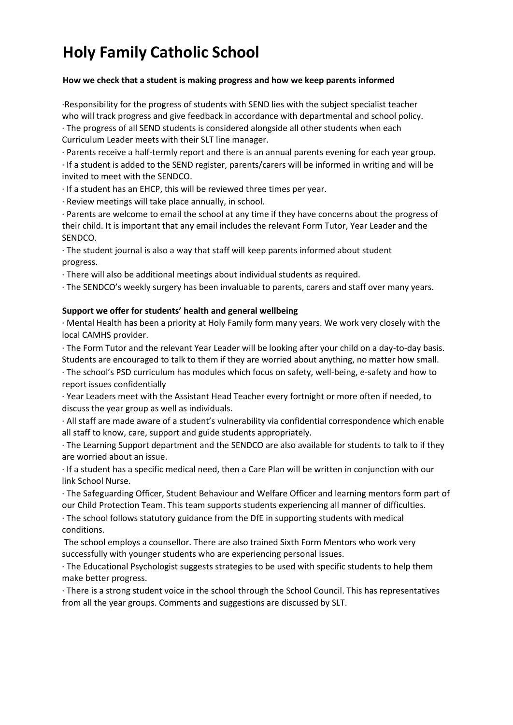#### **How we check that a student is making progress and how we keep parents informed**

∙Responsibility for the progress of students with SEND lies with the subject specialist teacher who will track progress and give feedback in accordance with departmental and school policy.

∙ The progress of all SEND students is considered alongside all other students when each Curriculum Leader meets with their SLT line manager.

∙ Parents receive a half-termly report and there is an annual parents evening for each year group. ∙ If a student is added to the SEND register, parents/carers will be informed in writing and will be invited to meet with the SENDCO.

∙ If a student has an EHCP, this will be reviewed three times per year.

∙ Review meetings will take place annually, in school.

∙ Parents are welcome to email the school at any time if they have concerns about the progress of their child. It is important that any email includes the relevant Form Tutor, Year Leader and the SENDCO.

∙ The student journal is also a way that staff will keep parents informed about student progress.

∙ There will also be additional meetings about individual students as required.

∙ The SENDCO's weekly surgery has been invaluable to parents, carers and staff over many years.

#### **Support we offer for students' health and general wellbeing**

∙ Mental Health has been a priority at Holy Family form many years. We work very closely with the local CAMHS provider.

∙ The Form Tutor and the relevant Year Leader will be looking after your child on a day-to-day basis. Students are encouraged to talk to them if they are worried about anything, no matter how small.

∙ The school's PSD curriculum has modules which focus on safety, well-being, e-safety and how to report issues confidentially

∙ Year Leaders meet with the Assistant Head Teacher every fortnight or more often if needed, to discuss the year group as well as individuals.

∙ All staff are made aware of a student's vulnerability via confidential correspondence which enable all staff to know, care, support and guide students appropriately.

∙ The Learning Support department and the SENDCO are also available for students to talk to if they are worried about an issue.

∙ If a student has a specific medical need, then a Care Plan will be written in conjunction with our link School Nurse.

∙ The Safeguarding Officer, Student Behaviour and Welfare Officer and learning mentors form part of our Child Protection Team. This team supports students experiencing all manner of difficulties.

∙ The school follows statutory guidance from the DfE in supporting students with medical conditions.

The school employs a counsellor. There are also trained Sixth Form Mentors who work very successfully with younger students who are experiencing personal issues.

∙ The Educational Psychologist suggests strategies to be used with specific students to help them make better progress.

∙ There is a strong student voice in the school through the School Council. This has representatives from all the year groups. Comments and suggestions are discussed by SLT.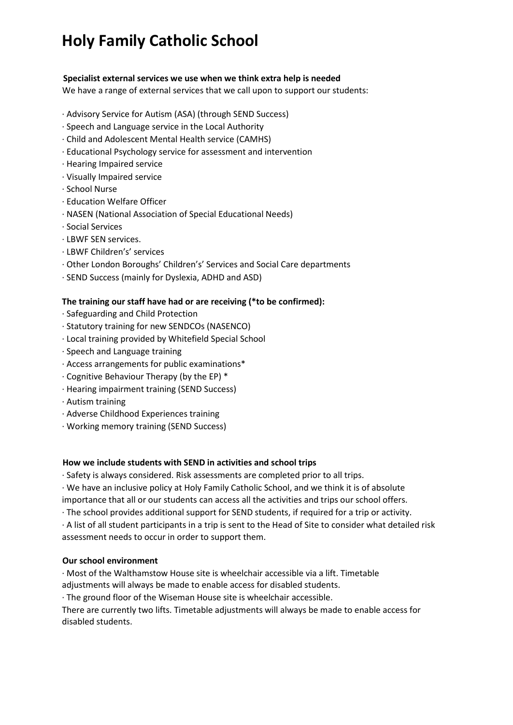#### **Specialist external services we use when we think extra help is needed**

We have a range of external services that we call upon to support our students:

- ∙ Advisory Service for Autism (ASA) (through SEND Success)
- ∙ Speech and Language service in the Local Authority
- ∙ Child and Adolescent Mental Health service (CAMHS)
- ∙ Educational Psychology service for assessment and intervention
- ∙ Hearing Impaired service
- ∙ Visually Impaired service
- ∙ School Nurse
- ∙ Education Welfare Officer
- ∙ NASEN (National Association of Special Educational Needs)
- ∙ Social Services
- ∙ LBWF SEN services.
- ∙ LBWF Children's' services
- ∙ Other London Boroughs' Children's' Services and Social Care departments
- ∙ SEND Success (mainly for Dyslexia, ADHD and ASD)

#### **The training our staff have had or are receiving (\*to be confirmed):**

- ∙ Safeguarding and Child Protection
- ∙ Statutory training for new SENDCOs (NASENCO)
- ∙ Local training provided by Whitefield Special School
- ∙ Speech and Language training
- ∙ Access arrangements for public examinations\*
- ∙ Cognitive Behaviour Therapy (by the EP) \*
- ∙ Hearing impairment training (SEND Success)
- ∙ Autism training
- ∙ Adverse Childhood Experiences training
- ∙ Working memory training (SEND Success)

#### **How we include students with SEND in activities and school trips**

- ∙ Safety is always considered. Risk assessments are completed prior to all trips.
- ∙ We have an inclusive policy at Holy Family Catholic School, and we think it is of absolute importance that all or our students can access all the activities and trips our school offers.
- ∙ The school provides additional support for SEND students, if required for a trip or activity.

∙ A list of all student participants in a trip is sent to the Head of Site to consider what detailed risk assessment needs to occur in order to support them.

#### **Our school environment**

∙ Most of the Walthamstow House site is wheelchair accessible via a lift. Timetable adjustments will always be made to enable access for disabled students.

∙ The ground floor of the Wiseman House site is wheelchair accessible.

There are currently two lifts. Timetable adjustments will always be made to enable access for disabled students.